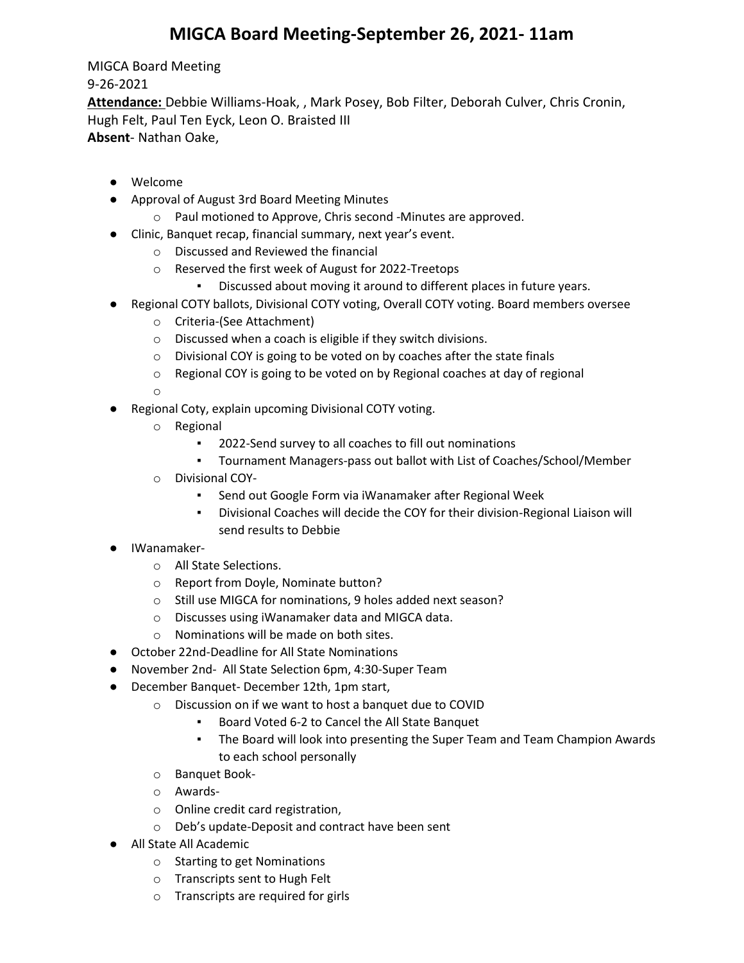## **MIGCA Board Meeting-September 26, 2021- 11am**

MIGCA Board Meeting 9-26-2021 **Attendance:** Debbie Williams-Hoak, , Mark Posey, Bob Filter, Deborah Culver, Chris Cronin, Hugh Felt, Paul Ten Eyck, Leon O. Braisted III **Absent**- Nathan Oake,

- Welcome
- Approval of August 3rd Board Meeting Minutes
	- o Paul motioned to Approve, Chris second -Minutes are approved.
- Clinic, Banquet recap, financial summary, next year's event.
	- o Discussed and Reviewed the financial
	- o Reserved the first week of August for 2022-Treetops
		- Discussed about moving it around to different places in future years.
- Regional COTY ballots, Divisional COTY voting, Overall COTY voting. Board members oversee
	- o Criteria-(See Attachment)
	- o Discussed when a coach is eligible if they switch divisions.
	- o Divisional COY is going to be voted on by coaches after the state finals
	- o Regional COY is going to be voted on by Regional coaches at day of regional

o

- Regional Coty, explain upcoming Divisional COTY voting.
	- o Regional
		- 2022-Send survey to all coaches to fill out nominations
		- Tournament Managers-pass out ballot with List of Coaches/School/Member
	- o Divisional COY-
		- Send out Google Form via iWanamaker after Regional Week
		- Divisional Coaches will decide the COY for their division-Regional Liaison will send results to Debbie
- IWanamaker
	- o All State Selections.
	- o Report from Doyle, Nominate button?
	- o Still use MIGCA for nominations, 9 holes added next season?
	- o Discusses using iWanamaker data and MIGCA data.
	- o Nominations will be made on both sites.
- October 22nd-Deadline for All State Nominations
- November 2nd- All State Selection 6pm, 4:30-Super Team
- December Banquet- December 12th, 1pm start,
	- o Discussion on if we want to host a banquet due to COVID
		- Board Voted 6-2 to Cancel the All State Banquet
		- The Board will look into presenting the Super Team and Team Champion Awards to each school personally
	- o Banquet Book-
	- o Awards-
	- o Online credit card registration,
	- o Deb's update-Deposit and contract have been sent
- All State All Academic
	- o Starting to get Nominations
	- o Transcripts sent to Hugh Felt
	- o Transcripts are required for girls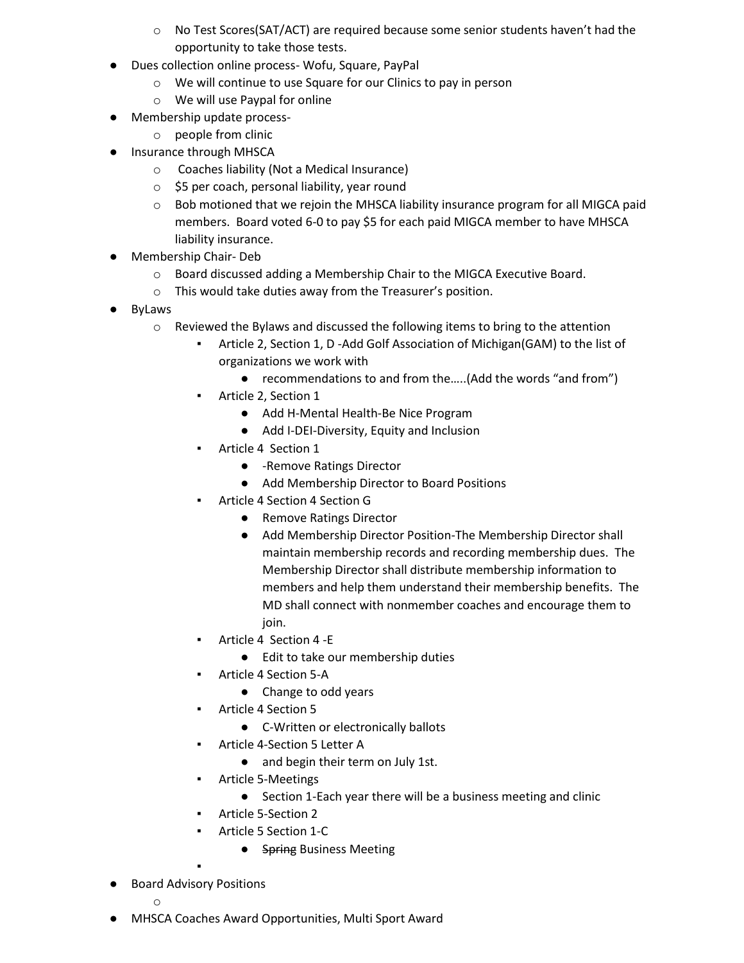- o No Test Scores(SAT/ACT) are required because some senior students haven't had the opportunity to take those tests.
- Dues collection online process- Wofu, Square, PayPal
	- o We will continue to use Square for our Clinics to pay in person
	- o We will use Paypal for online
- Membership update process
	- o people from clinic
- Insurance through MHSCA
	- o Coaches liability (Not a Medical Insurance)
	- o \$5 per coach, personal liability, year round
	- o Bob motioned that we rejoin the MHSCA liability insurance program for all MIGCA paid members. Board voted 6-0 to pay \$5 for each paid MIGCA member to have MHSCA liability insurance.
- Membership Chair- Deb
	- o Board discussed adding a Membership Chair to the MIGCA Executive Board.
	- o This would take duties away from the Treasurer's position.
- ByLaws
	- $\circ$  Reviewed the Bylaws and discussed the following items to bring to the attention
		- Article 2, Section 1, D -Add Golf Association of Michigan(GAM) to the list of organizations we work with
			- recommendations to and from the.....(Add the words "and from")
		- Article 2, Section 1
			- Add H-Mental Health-Be Nice Program
			- Add I-DEI-Diversity, Equity and Inclusion
		- Article 4 Section 1
			- -Remove Ratings Director
			- Add Membership Director to Board Positions
		- Article 4 Section 4 Section G
			- Remove Ratings Director
			- Add Membership Director Position-The Membership Director shall maintain membership records and recording membership dues. The Membership Director shall distribute membership information to members and help them understand their membership benefits. The MD shall connect with nonmember coaches and encourage them to join.
			- Article 4 Section 4 -E
				- Edit to take our membership duties
		- Article 4 Section 5-A
			- Change to odd years
		- Article 4 Section 5
			- C-Written or electronically ballots
		- Article 4-Section 5 Letter A
			- and begin their term on July 1st.
		- Article 5-Meetings
			- Section 1-Each year there will be a business meeting and clinic
		- Article 5-Section 2
		- Article 5 Section 1-C
			- Spring Business Meeting
- Board Advisory Positions

▪

- o
- MHSCA Coaches Award Opportunities, Multi Sport Award